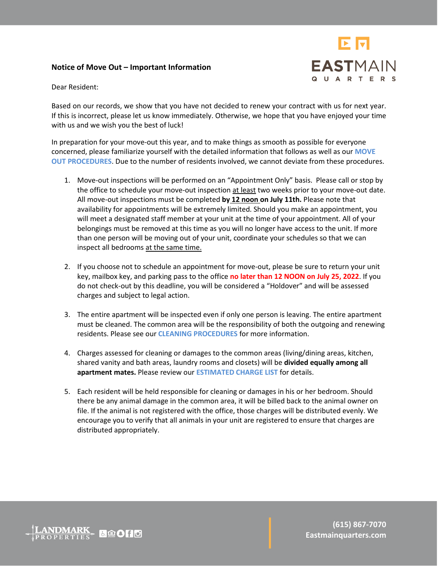# **Notice of Move Out – Important Information**



Dear Resident:

Based on our records, we show that you have not decided to renew your contract with us for next year. If this is incorrect, please let us know immediately. Otherwise, we hope that you have enjoyed your time with us and we wish you the best of luck!

In preparation for your move-out this year, and to make things as smooth as possible for everyone concerned, please familiarize yourself with the detailed information that follows as well as our **MOVE OUT PROCEDURES**. Due to the number of residents involved, we cannot deviate from these procedures.

- 1. Move-out inspections will be performed on an "Appointment Only" basis. Please call or stop by the office to schedule your move-out inspection at least two weeks prior to your move-out date. All move-out inspections must be completed **by 12 noon on July 11th.** Please note that availability for appointments will be extremely limited. Should you make an appointment, you will meet a designated staff member at your unit at the time of your appointment. All of your belongings must be removed at this time as you will no longer have access to the unit. If more than one person will be moving out of your unit, coordinate your schedules so that we can inspect all bedrooms at the same time.
- 2. If you choose not to schedule an appointment for move-out, please be sure to return your unit key, mailbox key, and parking pass to the office **no later than 12 NOON on July 25, 2022**. If you do not check-out by this deadline, you will be considered a "Holdover" and will be assessed charges and subject to legal action.
- 3. The entire apartment will be inspected even if only one person is leaving. The entire apartment must be cleaned. The common area will be the responsibility of both the outgoing and renewing residents. Please see our **CLEANING PROCEDURES** for more information.
- 4. Charges assessed for cleaning or damages to the common areas (living/dining areas, kitchen, shared vanity and bath areas, laundry rooms and closets) will be **divided equally among all apartment mates.** Please review our **ESTIMATED CHARGE LIST** for details.
- 5. Each resident will be held responsible for cleaning or damages in his or her bedroom. Should there be any animal damage in the common area, it will be billed back to the animal owner on file. If the animal is not registered with the office, those charges will be distributed evenly. We encourage you to verify that all animals in your unit are registered to ensure that charges are distributed appropriately.

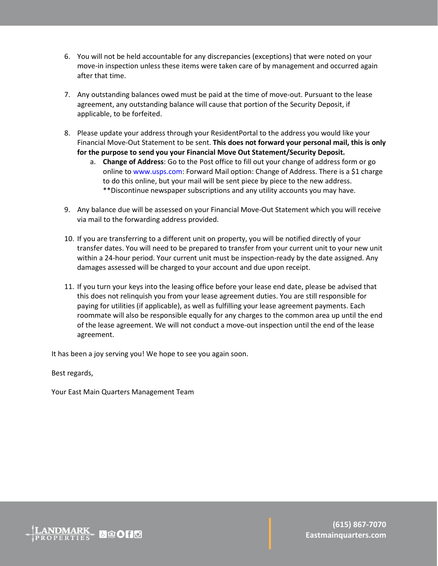- 6. You will not be held accountable for any discrepancies (exceptions) that were noted on your move-in inspection unless these items were taken care of by management and occurred again after that time.
- 7. Any outstanding balances owed must be paid at the time of move-out. Pursuant to the lease agreement, any outstanding balance will cause that portion of the Security Deposit, if applicable, to be forfeited.
- 8. Please update your address through your ResidentPortal to the address you would like your Financial Move-Out Statement to be sent. **This does not forward your personal mail, this is only for the purpose to send you your Financial Move Out Statement/Security Deposit.** 
	- a. **Change of Address**: Go to the Post office to fill out your change of address form or go online to www.usps.com: Forward Mail option: Change of Address. There is a \$1 charge to do this online, but your mail will be sent piece by piece to the new address. \*\*Discontinue newspaper subscriptions and any utility accounts you may have.
- 9. Any balance due will be assessed on your Financial Move-Out Statement which you will receive via mail to the forwarding address provided.
- 10. If you are transferring to a different unit on property, you will be notified directly of your transfer dates. You will need to be prepared to transfer from your current unit to your new unit within a 24-hour period. Your current unit must be inspection-ready by the date assigned. Any damages assessed will be charged to your account and due upon receipt.
- 11. If you turn your keys into the leasing office before your lease end date, please be advised that this does not relinquish you from your lease agreement duties. You are still responsible for paying for utilities (if applicable), as well as fulfilling your lease agreement payments. Each roommate will also be responsible equally for any charges to the common area up until the end of the lease agreement. We will not conduct a move-out inspection until the end of the lease agreement.

It has been a joy serving you! We hope to see you again soon.

Best regards,

Your East Main Quarters Management Team

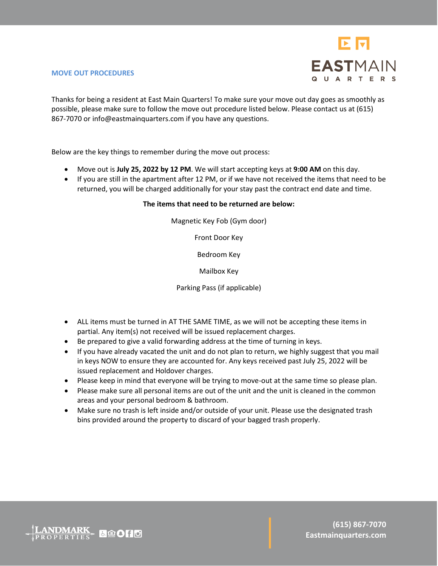

## **MOVE OUT PROCEDURES**

Thanks for being a resident at East Main Quarters! To make sure your move out day goes as smoothly as possible, please make sure to follow the move out procedure listed below. Please contact us at (615) 867-7070 or info@eastmainquarters.com if you have any questions.

Below are the key things to remember during the move out process:

- Move out is **July 25, 2022 by 12 PM**. We will start accepting keys at **9:00 AM** on this day.
- If you are still in the apartment after 12 PM, or if we have not received the items that need to be returned, you will be charged additionally for your stay past the contract end date and time.

# **The items that need to be returned are below:**

Magnetic Key Fob (Gym door)

Front Door Key

Bedroom Key

Mailbox Key

Parking Pass (if applicable)

- ALL items must be turned in AT THE SAME TIME, as we will not be accepting these items in partial. Any item(s) not received will be issued replacement charges.
- Be prepared to give a valid forwarding address at the time of turning in keys.
- If you have already vacated the unit and do not plan to return, we highly suggest that you mail in keys NOW to ensure they are accounted for. Any keys received past July 25, 2022 will be issued replacement and Holdover charges.
- Please keep in mind that everyone will be trying to move-out at the same time so please plan.
- Please make sure all personal items are out of the unit and the unit is cleaned in the common areas and your personal bedroom & bathroom.
- Make sure no trash is left inside and/or outside of your unit. Please use the designated trash bins provided around the property to discard of your bagged trash properly.

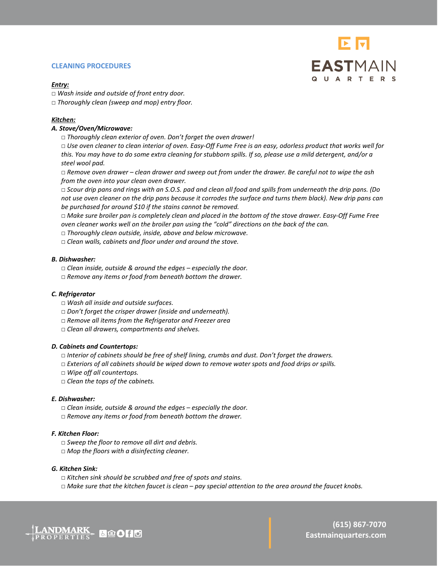#### **CLEANING PROCEDURES**

# EN **EASTMAIN QUARTERS**

#### *Entry:*

- □ *Wash inside and outside of front entry door.*
- □ *Thoroughly clean (sweep and mop) entry floor.*

## *Kitchen:*

## *A. Stove/Oven/Microwave:*

□ *Thoroughly clean exterior of oven. Don't forget the oven drawer!* 

□ *Use oven cleaner to clean interior of oven. Easy-Off Fume Free is an easy, odorless product that works well for this. You may have to do some extra cleaning for stubborn spills. If so, please use a mild detergent, and/or a steel wool pad.* 

□ *Remove oven drawer – clean drawer and sweep out from under the drawer. Be careful not to wipe the ash from the oven into your clean oven drawer.* 

□ *Scour drip pans and rings with an S.O.S. pad and clean all food and spills from underneath the drip pans. (Do not use oven cleaner on the drip pans because it corrodes the surface and turns them black). New drip pans can be purchased for around \$10 if the stains cannot be removed.*

□ *Make sure broiler pan is completely clean and placed in the bottom of the stove drawer. Easy-Off Fume Free oven cleaner works well on the broiler pan using the "cold" directions on the back of the can.* 

- □ *Thoroughly clean outside, inside, above and below microwave.*
- □ *Clean walls, cabinets and floor under and around the stove.*

#### *B. Dishwasher:*

- □ *Clean inside, outside & around the edges – especially the door.*
- □ *Remove any items or food from beneath bottom the drawer.*

## *C. Refrigerator*

- □ *Wash all inside and outside surfaces.*
- □ *Don't forget the crisper drawer (inside and underneath).*
- □ *Remove all items from the Refrigerator and Freezer area*
- □ *Clean all drawers, compartments and shelves.*

## *D. Cabinets and Countertops:*

- □ *Interior of cabinets should be free of shelf lining, crumbs and dust. Don't forget the drawers.*
- □ *Exteriors of all cabinets should be wiped down to remove water spots and food drips or spills.*
- □ *Wipe off all countertops.*
- □ *Clean the tops of the cabinets.*

#### *E. Dishwasher:*

- □ *Clean inside, outside & around the edges – especially the door.*
- □ Remove any items or food from beneath bottom the drawer.

## *F. Kitchen Floor:*

- □ *Sweep the floor to remove all dirt and debris.*
- □ Mop the floors with a disinfecting cleaner.

#### *G. Kitchen Sink:*

- □ *Kitchen sink should be scrubbed and free of spots and stains.*
- □ *Make sure that the kitchen faucet is clean – pay special attention to the area around the faucet knobs.*

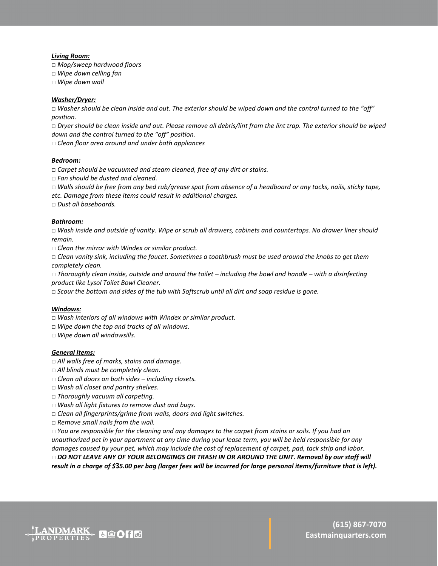#### *Living Room:*

□ *Mop/sweep hardwood floors*

- □ *Wipe down celling fan*
- □ *Wipe down wall*

#### *Washer/Dryer:*

□ *Washer should be clean inside and out. The exterior should be wiped down and the control turned to the "off" position.*

□ *Dryer should be clean inside and out. Please remove all debris/lint from the lint trap. The exterior should be wiped down and the control turned to the "off" position.*

□ *Clean floor area around and under both appliances*

#### *Bedroom:*

□ *Carpet should be vacuumed and steam cleaned, free of any dirt or stains.* 

□ *Fan should be dusted and cleaned.*

□ *Walls should be free from any bed rub/grease spot from absence of a headboard or any tacks, nails, sticky tape, etc. Damage from these items could result in additional charges.*

□ *Dust all baseboards.*

#### *Bathroom:*

□ *Wash inside and outside of vanity. Wipe or scrub all drawers, cabinets and countertops. No drawer liner should remain.*

□ *Clean the mirror with Windex or similar product.*

□ *Clean vanity sink, including the faucet. Sometimes a toothbrush must be used around the knobs to get them completely clean.*

□ *Thoroughly clean inside, outside and around the toilet – including the bowl and handle – with a disinfecting product like Lysol Toilet Bowl Cleaner.*

□ *Scour the bottom and sides of the tub with Softscrub until all dirt and soap residue is gone.*

#### *Windows:*

□ *Wash interiors of all windows with Windex or similar product.*

- □ *Wipe down the top and tracks of all windows.*
- □ *Wipe down all windowsills.*

#### *General Items:*

- □ *All walls free of marks, stains and damage.*
- □ *All blinds must be completely clean.*
- □ *Clean all doors on both sides – including closets.*
- □ *Wash all closet and pantry shelves.*
- □ *Thoroughly vacuum all carpeting.*
- □ *Wash all light fixtures to remove dust and bugs.*
- □ *Clean all fingerprints/grime from walls, doors and light switches.*
- □ *Remove small nails from the wall.*

□ *You are responsible for the cleaning and any damages to the carpet from stains or soils. If you had an unauthorized pet in your apartment at any time during your lease term, you will be held responsible for any damages caused by your pet, which may include the cost of replacement of carpet, pad, tack strip and labor.* □ DO NOT LEAVE ANY OF YOUR BELONGINGS OR TRASH IN OR AROUND THE UNIT. Removal by our staff will *result in a charge of \$35.00 per bag (larger fees will be incurred for large personal items/furniture that is left).*

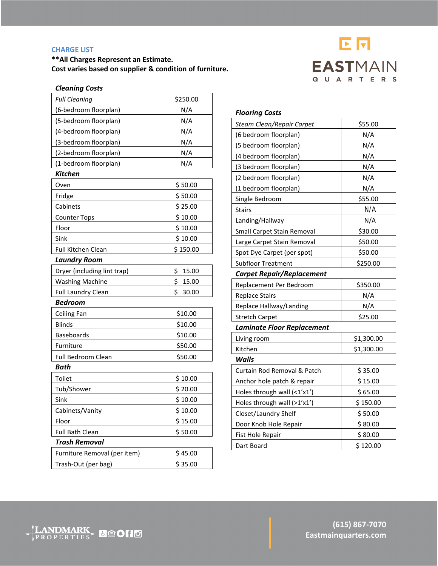# **CHARGE LIST**

**\*\*All Charges Represent an Estimate. Cost varies based on supplier & condition of furniture.**



| <b>Cleaning Costs</b>        |             |
|------------------------------|-------------|
| <b>Full Cleaning</b>         | \$250.00    |
| (6-bedroom floorplan)        | N/A         |
| (5-bedroom floorplan)        | N/A         |
| (4-bedroom floorplan)        | N/A         |
| (3-bedroom floorplan)        | N/A         |
| (2-bedroom floorplan)        | N/A         |
| (1-bedroom floorplan)        | N/A         |
| <b>Kitchen</b>               |             |
| Oven                         | \$50.00     |
| Fridge                       | \$50.00     |
| Cabinets                     | \$25.00     |
| <b>Counter Tops</b>          | \$10.00     |
| Floor                        | \$10.00     |
| Sink                         | \$10.00     |
| Full Kitchen Clean           | \$150.00    |
| <b>Laundry Room</b>          |             |
| Dryer (including lint trap)  | \$<br>15.00 |
| <b>Washing Machine</b>       | \$<br>15.00 |
| <b>Full Laundry Clean</b>    | \$<br>30.00 |
| <b>Bedroom</b>               |             |
| Ceiling Fan                  | \$10.00     |
| <b>Blinds</b>                | \$10.00     |
| <b>Baseboards</b>            | \$10.00     |
| Furniture                    | \$50.00     |
| Full Bedroom Clean           | \$50.00     |
| <b>Bath</b>                  |             |
| Toilet                       | \$10.00     |
| Tub/Shower                   | \$20.00     |
| Sink                         | \$10.00     |
| Cabinets/Vanity              | \$10.00     |
| Floor                        | \$15.00     |
| <b>Full Bath Clean</b>       | \$50.00     |
| Trash Removal                |             |
| Furniture Removal (per item) | \$45.00     |
| Trash-Out (per bag)          | \$35.00     |

| <b>Flooring Costs</b>             |            |
|-----------------------------------|------------|
| Steam Clean/Repair Carpet         | \$55.00    |
| (6 bedroom floorplan)             | N/A        |
| (5 bedroom floorplan)             | N/A        |
| (4 bedroom floorplan)             | N/A        |
| (3 bedroom floorplan)             | N/A        |
| (2 bedroom floorplan)             | N/A        |
| (1 bedroom floorplan)             | N/A        |
| Single Bedroom                    | \$55.00    |
| <b>Stairs</b>                     | N/A        |
| Landing/Hallway                   | N/A        |
| Small Carpet Stain Removal        | \$30.00    |
| Large Carpet Stain Removal        | \$50.00    |
| Spot Dye Carpet (per spot)        | \$50.00    |
| <b>Subfloor Treatment</b>         | \$250.00   |
| <b>Carpet Repair/Replacement</b>  |            |
| Replacement Per Bedroom           | \$350.00   |
| <b>Replace Stairs</b>             | N/A        |
| Replace Hallway/Landing           | N/A        |
| <b>Stretch Carpet</b>             | \$25.00    |
| <b>Laminate Floor Replacement</b> |            |
| Living room                       | \$1,300.00 |
| Kitchen                           | \$1,300.00 |
| <b>Walls</b>                      |            |
| Curtain Rod Removal & Patch       | \$35.00    |
| Anchor hole patch & repair        | \$15.00    |
| Holes through wall (<1'x1')       | \$65.00    |
| Holes through wall (>1'x1')       | \$150.00   |
| Closet/Laundry Shelf              | \$50.00    |
| Door Knob Hole Repair             | \$80.00    |
| Fist Hole Repair                  | \$80.00    |

Dart Board \$ 120.00

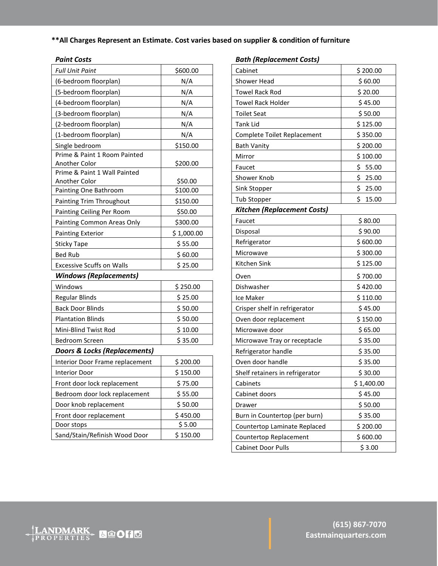# **\*\*All Charges Represent an Estimate. Cost varies based on supplier & condition of furniture**

# *Paint Costs*

| <b>Full Unit Paint</b>                  | \$600.00   |  |
|-----------------------------------------|------------|--|
| (6-bedroom floorplan)                   | N/A        |  |
| (5-bedroom floorplan)                   | N/A        |  |
| (4-bedroom floorplan)                   | N/A        |  |
| (3-bedroom floorplan)                   | N/A        |  |
| (2-bedroom floorplan)                   | N/A        |  |
| (1-bedroom floorplan)                   | N/A        |  |
| Single bedroom                          | \$150.00   |  |
| Prime & Paint 1 Room Painted            |            |  |
| <b>Another Color</b>                    | \$200.00   |  |
| Prime & Paint 1 Wall Painted            |            |  |
| <b>Another Color</b>                    | \$50.00    |  |
| Painting One Bathroom                   | \$100.00   |  |
| Painting Trim Throughout                | \$150.00   |  |
| Painting Ceiling Per Room               | \$50.00    |  |
| Painting Common Areas Only              | \$300.00   |  |
| <b>Painting Exterior</b>                | \$1,000.00 |  |
| <b>Sticky Tape</b>                      | \$ 55.00   |  |
| <b>Bed Rub</b>                          | \$60.00    |  |
| <b>Excessive Scuffs on Walls</b>        | \$25.00    |  |
| <b>Windows (Replacements)</b>           |            |  |
| Windows                                 | \$250.00   |  |
| Regular Blinds                          | \$25.00    |  |
| <b>Back Door Blinds</b>                 | \$50.00    |  |
| <b>Plantation Blinds</b>                | \$50.00    |  |
| Mini-Blind Twist Rod                    | \$10.00    |  |
| <b>Bedroom Screen</b>                   | \$35.00    |  |
| <b>Doors &amp; Locks (Replacements)</b> |            |  |
| Interior Door Frame replacement         | \$200.00   |  |
| Interior Door                           | \$150.00   |  |
| Front door lock replacement             | \$75.00    |  |
| Bedroom door lock replacement           | \$55.00    |  |
| Door knob replacement                   | \$50.00    |  |
| Front door replacement                  | \$450.00   |  |
| Door stops                              | \$5.00     |  |
| Sand/Stain/Refinish Wood Door           | \$150.00   |  |

# *Bath (Replacement Costs)*

| Cabinet                         | \$200.00    |  |
|---------------------------------|-------------|--|
| Shower Head                     | \$60.00     |  |
| <b>Towel Rack Rod</b>           | \$20.00     |  |
| <b>Towel Rack Holder</b>        | \$45.00     |  |
| <b>Toilet Seat</b>              | \$50.00     |  |
| Tank Lid                        | \$125.00    |  |
| Complete Toilet Replacement     | \$350.00    |  |
| <b>Bath Vanity</b>              | \$200.00    |  |
| Mirror                          | \$100.00    |  |
| Faucet                          | \$<br>55.00 |  |
| Shower Knob                     | \$<br>25.00 |  |
| Sink Stopper                    | \$<br>25.00 |  |
| Tub Stopper                     | \$<br>15.00 |  |
| Kitchen (Replacement Costs)     |             |  |
| Faucet                          | \$80.00     |  |
| Disposal                        | \$90.00     |  |
| Refrigerator                    | \$600.00    |  |
| Microwave                       | \$300.00    |  |
| Kitchen Sink                    | \$125.00    |  |
| Oven                            | \$700.00    |  |
| Dishwasher                      | \$420.00    |  |
| Ice Maker                       | \$110.00    |  |
| Crisper shelf in refrigerator   | \$45.00     |  |
| Oven door replacement           | \$150.00    |  |
| Microwave door                  | \$65.00     |  |
| Microwave Tray or receptacle    | \$35.00     |  |
| Refrigerator handle             | \$35.00     |  |
| Oven door handle                | \$35.00     |  |
| Shelf retainers in refrigerator | \$30.00     |  |
| Cabinets                        | \$1,400.00  |  |
| Cabinet doors                   | \$45.00     |  |
| Drawer                          | \$50.00     |  |
| Burn in Countertop (per burn)   | \$35.00     |  |
| Countertop Laminate Replaced    | \$200.00    |  |
| Countertop Replacement          | \$600.00    |  |
| Cabinet Door Pulls              | \$3.00      |  |

LANDMARK & QOHO